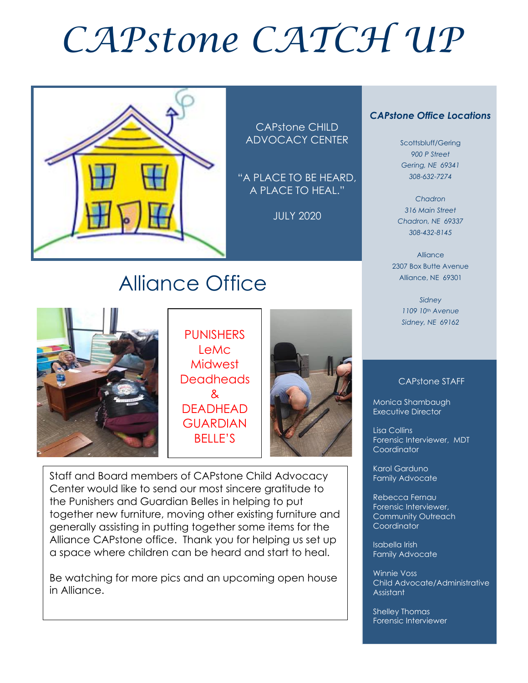# *CAPstone CATCH UP*



CAPstone CHILD ADVOCACY CENTER

"A PLACE TO BE HEARD, A PLACE TO HEAL."

JULY 2020

## *CAPstone Office Locations*

Scottsbluff/Gering *900 P Street Gering, NE 69341 308-632-7274*

*Chadron 316 Main Street Chadron, NE 69337 308-432-8145*

Alliance 2307 Box Butte Avenue Alliance, NE 69301

> *Sidney 1109 10th Avenue Sidney, NE 69162*

## Alliance Office



**PUNISHERS** LeMc Midwest **Deadheads** & DEADHEAD GUARDIAN BELLE'S



Staff and Board members of CAPstone Child Advocacy Center would like to send our most sincere gratitude to the Punishers and Guardian Belles in helping to put together new furniture, moving other existing furniture and generally assisting in putting together some items for the Alliance CAPstone office. Thank you for helping us set up a space where children can be heard and start to heal.

Be watching for more pics and an upcoming open house in Alliance.

## CAPstone STAFF

Monica Shambaugh Executive Director

Lisa Collins Forensic Interviewer, MDT **Coordinator** 

Karol Garduno Family Advocate

Rebecca Fernau Forensic Interviewer, Community Outreach Coordinator

Isabella Irish Family Advocate

Winnie Voss Child Advocate/Administrative Assistant

Shelley Thomas Forensic Interviewer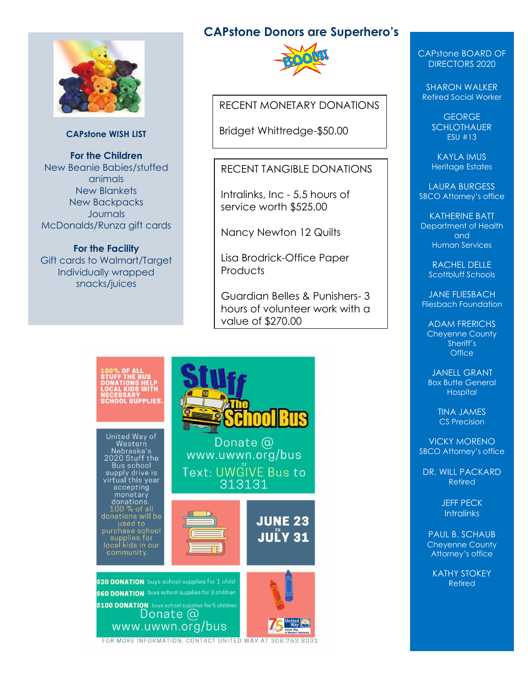

#### **CAPstone WISH LIST**

**For the Children** New Beanie Babies/stuffed animals New Blankets New Backpacks **Journals** McDonalds/Runza gift cards

**For the Facility** Gift cards to Walmart/Target Individually wrapped snacks/juices

## **CAPstone Donors are Superhero's**



## RECENT MONETARY DONATIONS

Bridget Whittredge-\$50.00

## RECENT TANGIBLE DONATIONS

Intralinks, Inc - 5.5 hours of service worth \$525.00

Nancy Newton 12 Quilts

Lisa Brodrick-Office Paper **Products** 

Guardian Belles & Punishers- 3 hours of volunteer work with a value of \$270.00



#### CAPstone BOARD OF DIRECTORS 2020

SHARON WALKER Retired Social Worker

> **GEORGE SCHLOTHAUER** ESU #13

KAYLA IMUS Heritage Estates

LAURA BURGESS SBCO Attorney's office

KATHERINE BATT Department of Health and Human Services

RACHEL DELLE Scottbluff Schools

JANE FLIESBACH Fliesbach Foundation

ADAM FRERICHS Cheyenne County Sheriff's **Office** 

JANELL GRANT **Box Butte General Hospital** 

> TINA JAMES CS Precision

VICKY MORENO SBCO Attorney's office

DR. WILL PACKARD Retired

> JEFF PECK **Intralinks**

PAUL B. SCHAUB Cheyenne County Attorney's office

KATHY STOKEY Retired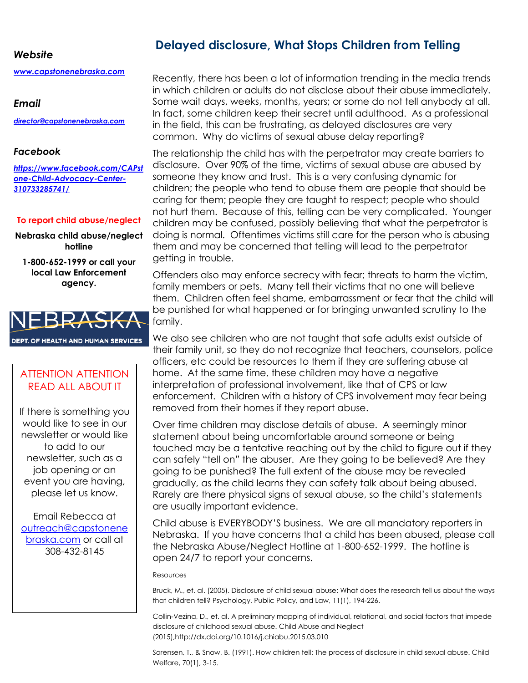### *Website*

*[www.capstonenebraska.com](http://www.capstonenebraska.com/)*

## *Email*

*[director@capstonenebraska.com](mailto:director@capstonenebraska.com)*

## *Facebook*

*[https://www.facebook.com/CAPst](https://www.facebook.com/CAPstone-Child-Advocacy-Center-310733285741/) [one-Child-Advocacy-Center-](https://www.facebook.com/CAPstone-Child-Advocacy-Center-310733285741/)[310733285741/](https://www.facebook.com/CAPstone-Child-Advocacy-Center-310733285741/)*

## **To report child abuse/neglect**

**Nebraska child abuse/neglect hotline**

**1-800-652-1999 or call your local Law Enforcement agency.**



DEPT. OF HEALTH AND HUMAN SERVICES

## ATTENTION ATTENTION READ ALL ABOUT IT

If there is something you would like to see in our newsletter or would like to add to our newsletter, such as a job opening or an event you are having, please let us know.

Email Rebecca at [outreach@capstonene](mailto:outreach@capstonenebraska.com) [braska.com](mailto:outreach@capstonenebraska.com) or call at 308-432-8145

## **Delayed disclosure, What Stops Children from Telling**

Recently, there has been a lot of information trending in the media trends in which children or adults do not disclose about their abuse immediately. Some wait days, weeks, months, years; or some do not tell anybody at all. In fact, some children keep their secret until adulthood. As a professional in the field, this can be frustrating, as delayed disclosures are very common. Why do victims of sexual abuse delay reporting?

The relationship the child has with the perpetrator may create barriers to disclosure. Over 90% of the time, victims of sexual abuse are abused by someone they know and trust. This is a very confusing dynamic for children; the people who tend to abuse them are people that should be caring for them; people they are taught to respect; people who should not hurt them. Because of this, telling can be very complicated. Younger children may be confused, possibly believing that what the perpetrator is doing is normal. Oftentimes victims still care for the person who is abusing them and may be concerned that telling will lead to the perpetrator getting in trouble.

Offenders also may enforce secrecy with fear; threats to harm the victim, family members or pets. Many tell their victims that no one will believe them. Children often feel shame, embarrassment or fear that the child will be punished for what happened or for bringing unwanted scrutiny to the family.

We also see children who are not taught that safe adults exist outside of their family unit, so they do not recognize that teachers, counselors, police officers, etc could be resources to them if they are suffering abuse at home. At the same time, these children may have a negative interpretation of professional involvement, like that of CPS or law enforcement. Children with a history of CPS involvement may fear being removed from their homes if they report abuse.

Over time children may disclose details of abuse. A seemingly minor statement about being uncomfortable around someone or being touched may be a tentative reaching out by the child to figure out if they can safely "tell on" the abuser. Are they going to be believed? Are they going to be punished? The full extent of the abuse may be revealed gradually, as the child learns they can safety talk about being abused. Rarely are there physical signs of sexual abuse, so the child's statements are usually important evidence.

Child abuse is EVERYBODY'S business. We are all mandatory reporters in Nebraska. If you have concerns that a child has been abused, please call the Nebraska Abuse/Neglect Hotline at 1-800-652-1999. The hotline is open 24/7 to report your concerns.

Resources

Bruck, M., et. al. (2005). Disclosure of child sexual abuse: What does the research tell us about the ways that children tell? Psychology, Public Policy, and Law, 11(1), 194-226.

Collin-Vezina, D., et. al. A preliminary mapping of individual, relational, and social factors that impede disclosure of childhood sexual abuse. Child Abuse and Neglect (2015),http://dx.doi.org/10.1016/j.chiabu.2015.03.010

Sorensen, T., & Snow, B. (1991). How children tell: The process of disclosure in child sexual abuse. Child Welfare, 70(1), 3-15.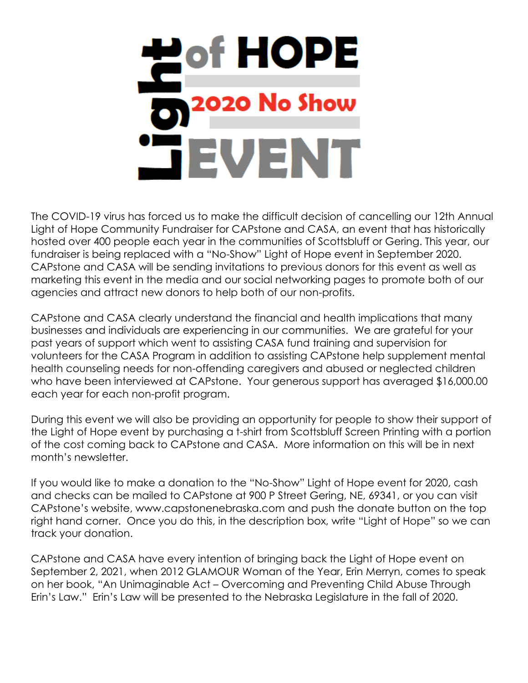# of HOPE 2020 No Show EVENT

The COVID-19 virus has forced us to make the difficult decision of cancelling our 12th Annual Light of Hope Community Fundraiser for CAPstone and CASA, an event that has historically hosted over 400 people each year in the communities of Scottsbluff or Gering. This year, our fundraiser is being replaced with a "No-Show" Light of Hope event in September 2020. CAPstone and CASA will be sending invitations to previous donors for this event as well as marketing this event in the media and our social networking pages to promote both of our agencies and attract new donors to help both of our non-profits.

CAPstone and CASA clearly understand the financial and health implications that many businesses and individuals are experiencing in our communities. We are grateful for your past years of support which went to assisting CASA fund training and supervision for volunteers for the CASA Program in addition to assisting CAPstone help supplement mental health counseling needs for non-offending caregivers and abused or neglected children who have been interviewed at CAPstone. Your generous support has averaged \$16,000.00 each year for each non-profit program.

During this event we will also be providing an opportunity for people to show their support of the Light of Hope event by purchasing a t-shirt from Scottsbluff Screen Printing with a portion of the cost coming back to CAPstone and CASA. More information on this will be in next month's newsletter.

If you would like to make a donation to the "No-Show" Light of Hope event for 2020, cash and checks can be mailed to CAPstone at 900 P Street Gering, NE, 69341, or you can visit CAPstone's website, www.capstonenebraska.com and push the donate button on the top right hand corner. Once you do this, in the description box, write "Light of Hope" so we can track your donation.

CAPstone and CASA have every intention of bringing back the Light of Hope event on September 2, 2021, when 2012 GLAMOUR Woman of the Year, Erin Merryn, comes to speak on her book, "An Unimaginable Act – Overcoming and Preventing Child Abuse Through Erin's Law." Erin's Law will be presented to the Nebraska Legislature in the fall of 2020.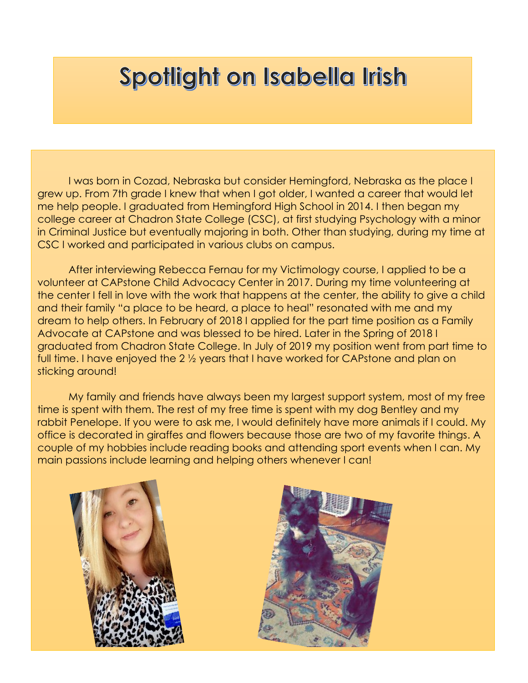# Spotlight on Isabella Irish

I was born in Cozad, Nebraska but consider Hemingford, Nebraska as the place I grew up. From 7th grade I knew that when I got older, I wanted a career that would let me help people. I graduated from Hemingford High School in 2014. I then began my college career at Chadron State College (CSC), at first studying Psychology with a minor in Criminal Justice but eventually majoring in both. Other than studying, during my time at CSC I worked and participated in various clubs on campus.

After interviewing Rebecca Fernau for my Victimology course, I applied to be a volunteer at CAPstone Child Advocacy Center in 2017. During my time volunteering at the center I fell in love with the work that happens at the center, the ability to give a child and their family "a place to be heard, a place to heal" resonated with me and my dream to help others. In February of 2018 I applied for the part time position as a Family Advocate at CAPstone and was blessed to be hired. Later in the Spring of 2018 I graduated from Chadron State College. In July of 2019 my position went from part time to full time. I have enjoyed the 2 ½ years that I have worked for CAPstone and plan on sticking around!

My family and friends have always been my largest support system, most of my free time is spent with them. The rest of my free time is spent with my dog Bentley and my rabbit Penelope. If you were to ask me, I would definitely have more animals if I could. My office is decorated in giraffes and flowers because those are two of my favorite things. A couple of my hobbies include reading books and attending sport events when I can. My main passions include learning and helping others whenever I can!



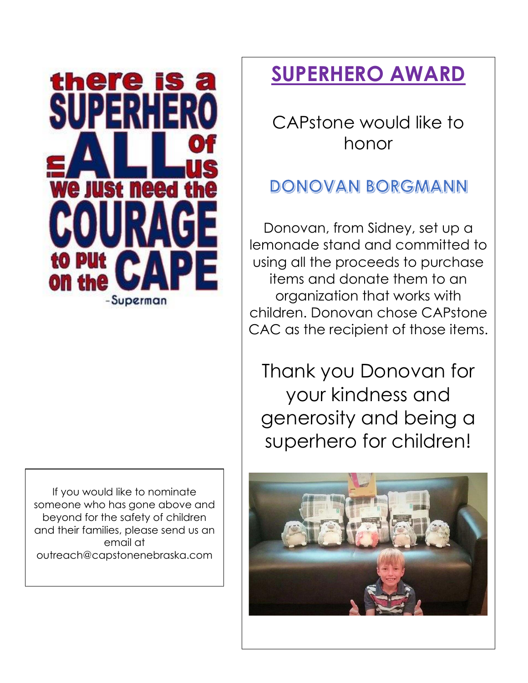

If you would like to nominate someone who has gone above and beyond for the safety of children and their families, please send us an email at outreach@capstonenebraska.com

## **SUPERHERO AWARD**

CAPstone would like to honor

## DONOVAN BORGMANN

Donovan, from Sidney, set up a lemonade stand and committed to using all the proceeds to purchase items and donate them to an organization that works with children. Donovan chose CAPstone CAC as the recipient of those items.

Thank you Donovan for your kindness and generosity and being a superhero for children!

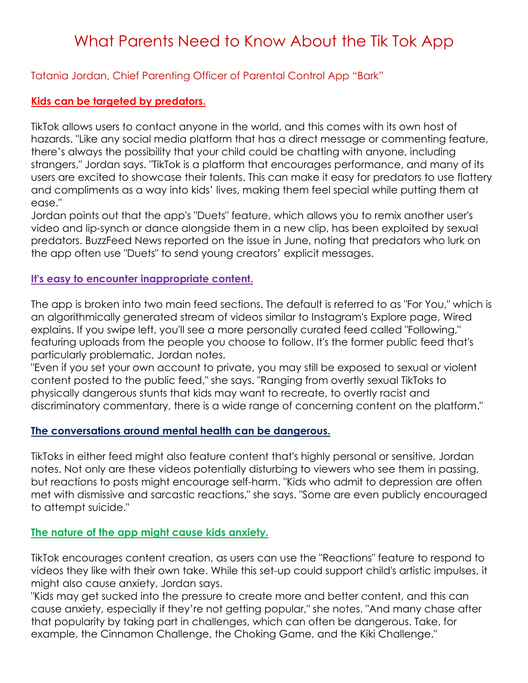## What Parents Need to Know About the Tik Tok App

## Tatania Jordan, Chief Parenting Officer of Parental Control App "Bark"

## **Kids can be targeted by predators.**

TikTok allows users to contact anyone in the world, and this comes with its own host of hazards. "Like any social media platform that has a direct message or commenting feature, there's always the possibility that your child could be chatting with anyone, including strangers," Jordan says. "TikTok is a platform that encourages performance, and many of its users are excited to showcase their talents. This can make it easy for predators to use flattery and compliments as a way into kids' lives, making them feel special while putting them at ease."

Jordan points out that the app's "Duets" feature, which allows you to remix another user's video and lip-synch or dance alongside them in a new clip, has been exploited by sexual predators. BuzzFeed News reported on the issue in June, noting that predators who lurk on the app often use "Duets" to send young creators' explicit messages.

## **It's easy to encounter inappropriate content.**

The app is broken into two main feed sections. The default is referred to as "For You," which is an algorithmically generated stream of videos similar to Instagram's Explore page, Wired explains. If you swipe left, you'll see a more personally curated feed called "Following," featuring uploads from the people you choose to follow. It's the former public feed that's particularly problematic, Jordan notes.

"Even if you set your own account to private, you may still be exposed to sexual or violent content posted to the public feed," she says. "Ranging from overtly sexual TikToks to physically dangerous stunts that kids may want to recreate, to overtly racist and discriminatory commentary, there is a wide range of concerning content on the platform."

## **The conversations around mental health can be dangerous.**

TikToks in either feed might also feature content that's highly personal or sensitive, Jordan notes. Not only are these videos potentially disturbing to viewers who see them in passing, but reactions to posts might encourage self-harm. "Kids who admit to depression are often met with dismissive and sarcastic reactions," she says. "Some are even publicly encouraged to attempt suicide."

## **The nature of the app might cause kids anxiety.**

TikTok encourages content creation, as users can use the "Reactions" feature to respond to videos they like with their own take. While this set-up could support child's artistic impulses, it might also cause anxiety, Jordan says.

"Kids may get sucked into the pressure to create more and better content, and this can cause anxiety, especially if they're not getting popular," she notes. "And many chase after that popularity by taking part in challenges, which can often be dangerous. Take, for example, the Cinnamon Challenge, the Choking Game, and the Kiki Challenge."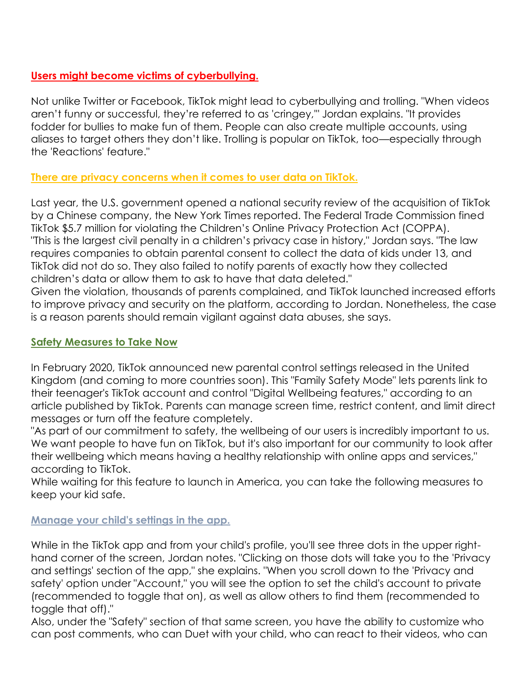## **Users might become victims of cyberbullying.**

Not unlike Twitter or Facebook, TikTok might lead to cyberbullying and trolling. "When videos aren't funny or successful, they're referred to as 'cringey,'" Jordan explains. "It provides fodder for bullies to make fun of them. People can also create multiple accounts, using aliases to target others they don't like. Trolling is popular on TikTok, too—especially through the 'Reactions' feature."

## **There are privacy concerns when it comes to user data on TikTok.**

Last year, the U.S. government opened a national security review of the acquisition of TikTok by a Chinese company, the New York Times reported. The Federal Trade Commission fined TikTok \$5.7 million for violating the Children's Online Privacy Protection Act (COPPA). "This is the largest civil penalty in a children's privacy case in history," Jordan says. "The law requires companies to obtain parental consent to collect the data of kids under 13, and TikTok did not do so. They also failed to notify parents of exactly how they collected children's data or allow them to ask to have that data deleted."

Given the violation, thousands of parents complained, and TikTok launched increased efforts to improve privacy and security on the platform, according to Jordan. Nonetheless, the case is a reason parents should remain vigilant against data abuses, she says.

## **Safety Measures to Take Now**

In February 2020, TikTok announced new parental control settings released in the United Kingdom (and coming to more countries soon). This "Family Safety Mode" lets parents link to their teenager's TikTok account and control "Digital Wellbeing features," according to an article published by TikTok. Parents can manage screen time, restrict content, and limit direct messages or turn off the feature completely.

"As part of our commitment to safety, the wellbeing of our users is incredibly important to us. We want people to have fun on TikTok, but it's also important for our community to look after their wellbeing which means having a healthy relationship with online apps and services," according to TikTok.

While waiting for this feature to launch in America, you can take the following measures to keep your kid safe.

## **Manage your child's settings in the app.**

While in the TikTok app and from your child's profile, you'll see three dots in the upper righthand corner of the screen, Jordan notes. "Clicking on those dots will take you to the 'Privacy and settings' section of the app," she explains. "When you scroll down to the 'Privacy and safety' option under "Account," you will see the option to set the child's account to private (recommended to toggle that on), as well as allow others to find them (recommended to toggle that off)."

Also, under the "Safety" section of that same screen, you have the ability to customize who can post comments, who can Duet with your child, who can react to their videos, who can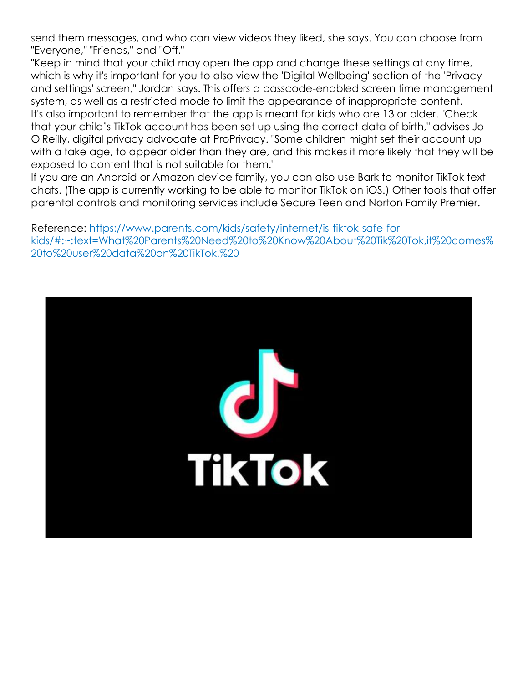send them messages, and who can view videos they liked, she says. You can choose from "Everyone," "Friends," and "Off."

"Keep in mind that your child may open the app and change these settings at any time, which is why it's important for you to also view the 'Digital Wellbeing' section of the 'Privacy and settings' screen," Jordan says. This offers a passcode-enabled screen time management system, as well as a restricted mode to limit the appearance of inappropriate content. It's also important to remember that the app is meant for kids who are 13 or older. "Check that your child's TikTok account has been set up using the correct data of birth," advises Jo O'Reilly, digital privacy advocate at ProPrivacy. "Some children might set their account up with a fake age, to appear older than they are, and this makes it more likely that they will be exposed to content that is not suitable for them."

If you are an Android or Amazon device family, you can also use Bark to monitor TikTok text chats. (The app is currently working to be able to monitor TikTok on iOS.) Other tools that offer parental controls and monitoring services include Secure Teen and Norton Family Premier.

Reference: https://www.parents.com/kids/safety/internet/is-tiktok-safe-forkids/#:~:text=What%20Parents%20Need%20to%20Know%20About%20Tik%20Tok,it%20comes% 20to%20user%20data%20on%20TikTok.%20